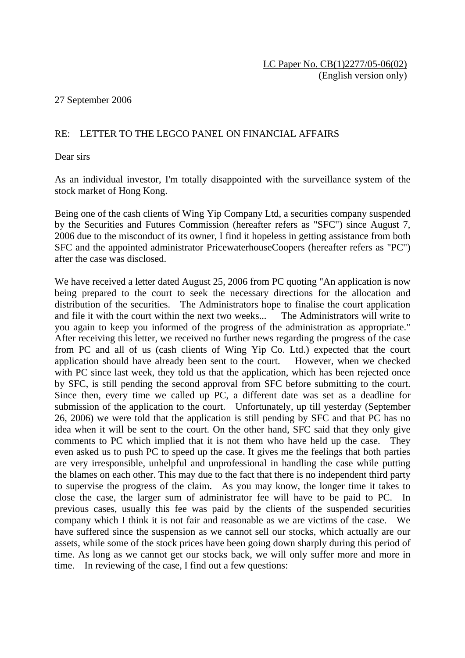## 27 September 2006

## RE: LETTER TO THE LEGCO PANEL ON FINANCIAL AFFAIRS

Dear sirs

As an individual investor, I'm totally disappointed with the surveillance system of the stock market of Hong Kong.

Being one of the cash clients of Wing Yip Company Ltd, a securities company suspended by the Securities and Futures Commission (hereafter refers as "SFC") since August 7, 2006 due to the misconduct of its owner, I find it hopeless in getting assistance from both SFC and the appointed administrator PricewaterhouseCoopers (hereafter refers as "PC") after the case was disclosed.

We have received a letter dated August 25, 2006 from PC quoting "An application is now being prepared to the court to seek the necessary directions for the allocation and distribution of the securities. The Administrators hope to finalise the court application and file it with the court within the next two weeks... The Administrators will write to you again to keep you informed of the progress of the administration as appropriate." After receiving this letter, we received no further news regarding the progress of the case from PC and all of us (cash clients of Wing Yip Co. Ltd.) expected that the court application should have already been sent to the court. However, when we checked with PC since last week, they told us that the application, which has been rejected once by SFC, is still pending the second approval from SFC before submitting to the court. Since then, every time we called up PC, a different date was set as a deadline for submission of the application to the court. Unfortunately, up till yesterday (September 26, 2006) we were told that the application is still pending by SFC and that PC has no idea when it will be sent to the court. On the other hand, SFC said that they only give comments to PC which implied that it is not them who have held up the case. They even asked us to push PC to speed up the case. It gives me the feelings that both parties are very irresponsible, unhelpful and unprofessional in handling the case while putting the blames on each other. This may due to the fact that there is no independent third party to supervise the progress of the claim. As you may know, the longer time it takes to close the case, the larger sum of administrator fee will have to be paid to PC. previous cases, usually this fee was paid by the clients of the suspended securities company which I think it is not fair and reasonable as we are victims of the case. We have suffered since the suspension as we cannot sell our stocks, which actually are our assets, while some of the stock prices have been going down sharply during this period of time. As long as we cannot get our stocks back, we will only suffer more and more in time. In reviewing of the case, I find out a few questions: